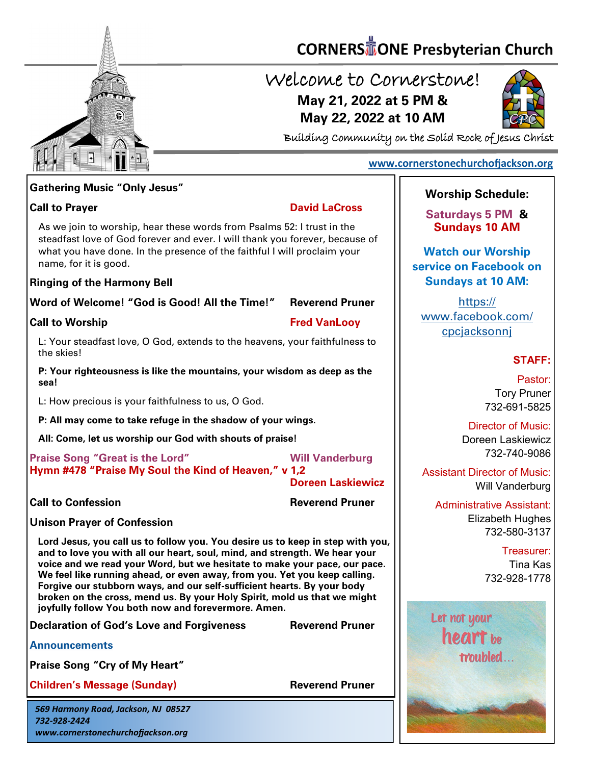

# **CORNERS** TONE Presbyterian Church

## Welcome to Cornerstone! **May 21, 2022 at 5 PM & May 22, 2022 at 10 AM**



Building Community on the Solid Rock of Jesus Christ

#### **[www.cornerstonechurchofjackson.org](http://www.cornerstonechurchofjackson.org)**

#### **Gathering Music "Only Jesus"**

 steadfast love of God forever and ever. I will thank you forever, because of As we join to worship, hear these words from Psalms 52: I trust in the what you have done. In the presence of the faithful I will proclaim your name, for it is good.

#### **Ringing of the Harmony Bell**

**Word of Welcome! "God is Good! All the Time!" Reverend Pruner**

**Call to Worship Fred VanLooy**

L: Your steadfast love, O God, extends to the heavens, your faithfulness to the skies!

**P: Your righteousness is like the mountains, your wisdom as deep as the sea!**

L: How precious is your faithfulness to us, O God.

**P: All may come to take refuge in the shadow of your wings.**

**All: Come, let us worship our God with shouts of praise!**

**Praise Song "Great is the Lord" Will Vanderburg Hymn #478 "Praise My Soul the Kind of Heaven," v 1,2** 

**Doreen Laskiewicz**

**Call to Confession Reverend Pruner** 

**Unison Prayer of Confession**

**Lord Jesus, you call us to follow you. You desire us to keep in step with you, and to love you with all our heart, soul, mind, and strength. We hear your voice and we read your Word, but we hesitate to make your pace, our pace. We feel like running ahead, or even away, from you. Yet you keep calling. Forgive our stubborn ways, and our self-sufficient hearts. By your body broken on the cross, mend us. By your Holy Spirit, mold us that we might joyfully follow You both now and forevermore. Amen.**

**Declaration of God's Love and Forgiveness Reverend Pruner**

**[Announcements](http://cornerstonechurchofjackson.org/?page_id=2)**

**Praise Song "Cry of My Heart"**

**Children's Message (Sunday) Reverend Pruner** 

*569 Harmony Road, Jackson, NJ 08527 732-928-2424 www.cornerstonechurchofjackson.org*

#### **Worship Schedule:**

**Saturdays 5 PM & Sundays 10 AM**

**Watch our Worship service on Facebook on Sundays at 10 AM:**

[https://](https://www.facebook.com/cpcjacksonnj) [www.facebook.com/](https://www.facebook.com/cpcjacksonnj) [cpcjacksonnj](https://www.facebook.com/cpcjacksonnj)

#### **STAFF:**

Pastor: Tory Pruner 732-691-5825

Director of Music: Doreen Laskiewicz 732-740-9086

Assistant Director of Music: Will Vanderburg

Administrative Assistant: Elizabeth Hughes 732-580-3137

> Treasurer: Tina Kas 732-928-1778



### **Call to Prayer David LaCross**